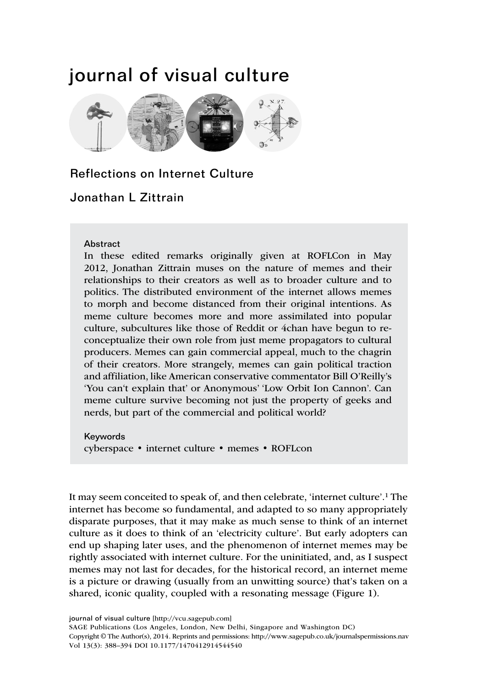# journal of visual culture



### Reflections on Internet Culture

## Jonathan L Zittrain

#### Abstract

In these edited remarks originally given at ROFLCon in May 2012, Jonathan Zittrain muses on the nature of memes and their relationships to their creators as well as to broader culture and to politics. The distributed environment of the internet allows memes to morph and become distanced from their original intentions. As meme culture becomes more and more assimilated into popular culture, subcultures like those of Reddit or 4chan have begun to reconceptualize their own role from just meme propagators to cultural producers. Memes can gain commercial appeal, much to the chagrin of their creators. More strangely, memes can gain political traction and affiliation, like American conservative commentator Bill O'Reilly's 'You can't explain that' or Anonymous' 'Low Orbit Ion Cannon'. Can meme culture survive becoming not just the property of geeks and nerds, but part of the commercial and political world?

Keywords cyberspace • internet culture • memes • ROFLcon

It may seem conceited to speak of, and then celebrate, 'internet culture'.1 The internet has become so fundamental, and adapted to so many appropriately disparate purposes, that it may make as much sense to think of an internet culture as it does to think of an 'electricity culture'. But early adopters can end up shaping later uses, and the phenomenon of internet memes may be rightly associated with internet culture. For the uninitiated, and, as I suspect memes may not last for decades, for the historical record, an internet meme is a picture or drawing (usually from an unwitting source) that's taken on a shared, iconic quality, coupled with a resonating message (Figure 1).

journal of visual culture [http://vcu.sagepub.com]

SAGE Publications (Los Angeles, London, New Delhi, Singapore and Washington DC)

Copyright © The Author(s), 2014. Reprints and permissions: http://www.sagepub.co.uk/journalspermissions.nav Vol 13(3): 388–394 DOI 10.1177/1470412914544540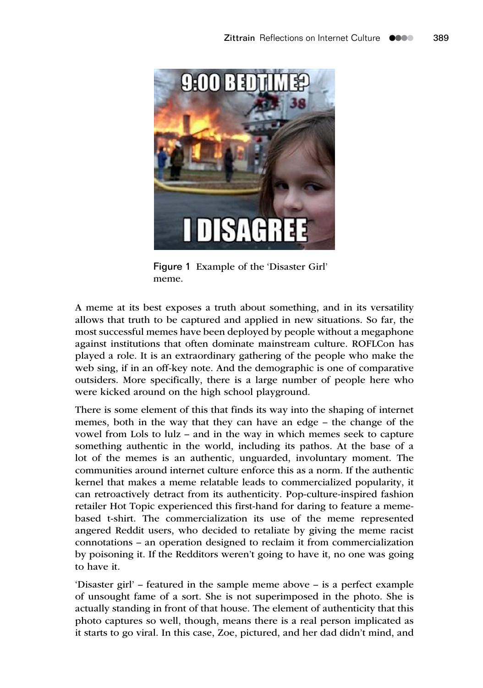

Figure 1 Example of the 'Disaster Girl' meme.

A meme at its best exposes a truth about something, and in its versatility allows that truth to be captured and applied in new situations. So far, the most successful memes have been deployed by people without a megaphone against institutions that often dominate mainstream culture. ROFLCon has played a role. It is an extraordinary gathering of the people who make the web sing, if in an off-key note. And the demographic is one of comparative outsiders. More specifically, there is a large number of people here who were kicked around on the high school playground.

There is some element of this that finds its way into the shaping of internet memes, both in the way that they can have an edge – the change of the vowel from Lols to lulz – and in the way in which memes seek to capture something authentic in the world, including its pathos. At the base of a lot of the memes is an authentic, unguarded, involuntary moment. The communities around internet culture enforce this as a norm. If the authentic kernel that makes a meme relatable leads to commercialized popularity, it can retroactively detract from its authenticity. Pop-culture-inspired fashion retailer Hot Topic experienced this first-hand for daring to feature a memebased t-shirt. The commercialization its use of the meme represented angered Reddit users, who decided to retaliate by giving the meme racist connotations – an operation designed to reclaim it from commercialization by poisoning it. If the Redditors weren't going to have it, no one was going to have it.

'Disaster girl' – featured in the sample meme above – is a perfect example of unsought fame of a sort. She is not superimposed in the photo. She is actually standing in front of that house. The element of authenticity that this photo captures so well, though, means there is a real person implicated as it starts to go viral. In this case, Zoe, pictured, and her dad didn't mind, and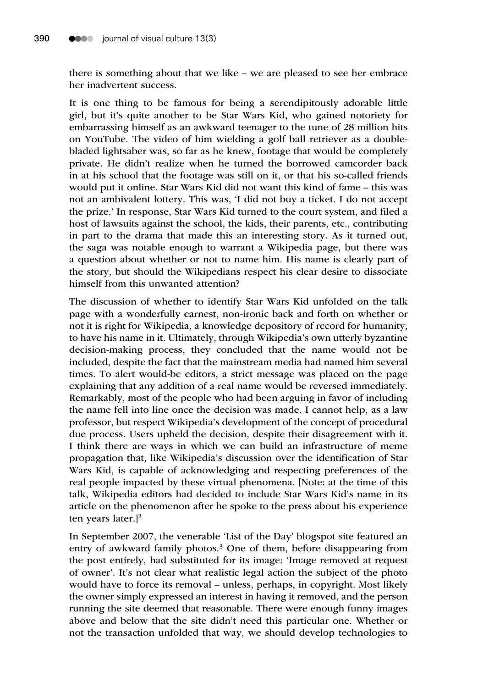there is something about that we like – we are pleased to see her embrace her inadvertent success.

It is one thing to be famous for being a serendipitously adorable little girl, but it's quite another to be Star Wars Kid, who gained notoriety for embarrassing himself as an awkward teenager to the tune of 28 million hits on YouTube. The video of him wielding a golf ball retriever as a doublebladed lightsaber was, so far as he knew, footage that would be completely private. He didn't realize when he turned the borrowed camcorder back in at his school that the footage was still on it, or that his so-called friends would put it online. Star Wars Kid did not want this kind of fame – this was not an ambivalent lottery. This was, 'I did not buy a ticket. I do not accept the prize.' In response, Star Wars Kid turned to the court system, and filed a host of lawsuits against the school, the kids, their parents, etc., contributing in part to the drama that made this an interesting story. As it turned out, the saga was notable enough to warrant a Wikipedia page, but there was a question about whether or not to name him. His name is clearly part of the story, but should the Wikipedians respect his clear desire to dissociate himself from this unwanted attention?

The discussion of whether to identify Star Wars Kid unfolded on the talk page with a wonderfully earnest, non-ironic back and forth on whether or not it is right for Wikipedia, a knowledge depository of record for humanity, to have his name in it. Ultimately, through Wikipedia's own utterly byzantine decision-making process, they concluded that the name would not be included, despite the fact that the mainstream media had named him several times. To alert would-be editors, a strict message was placed on the page explaining that any addition of a real name would be reversed immediately. Remarkably, most of the people who had been arguing in favor of including the name fell into line once the decision was made. I cannot help, as a law professor, but respect Wikipedia's development of the concept of procedural due process. Users upheld the decision, despite their disagreement with it. I think there are ways in which we can build an infrastructure of meme propagation that, like Wikipedia's discussion over the identification of Star Wars Kid, is capable of acknowledging and respecting preferences of the real people impacted by these virtual phenomena. [Note: at the time of this talk, Wikipedia editors had decided to include Star Wars Kid's name in its article on the phenomenon after he spoke to the press about his experience ten years later.]2

In September 2007, the venerable 'List of the Day' blogspot site featured an entry of awkward family photos.<sup>3</sup> One of them, before disappearing from the post entirely, had substituted for its image: 'Image removed at request of owner'. It's not clear what realistic legal action the subject of the photo would have to force its removal – unless, perhaps, in copyright. Most likely the owner simply expressed an interest in having it removed, and the person running the site deemed that reasonable. There were enough funny images above and below that the site didn't need this particular one. Whether or not the transaction unfolded that way, we should develop technologies to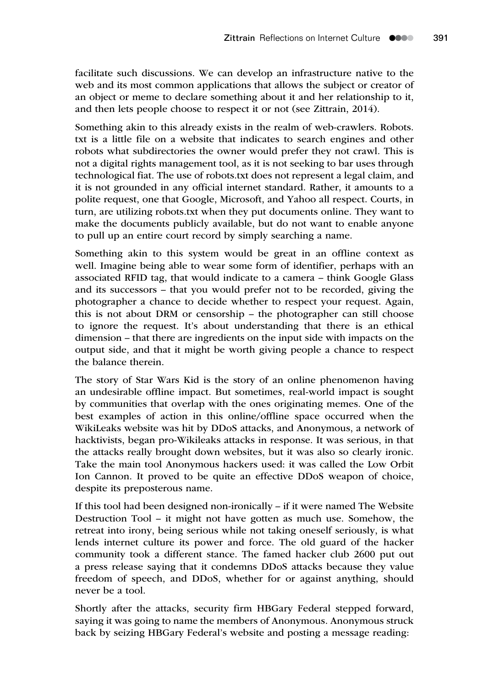facilitate such discussions. We can develop an infrastructure native to the web and its most common applications that allows the subject or creator of an object or meme to declare something about it and her relationship to it, and then lets people choose to respect it or not (see Zittrain, 2014).

Something akin to this already exists in the realm of web-crawlers. Robots. txt is a little file on a website that indicates to search engines and other robots what subdirectories the owner would prefer they not crawl. This is not a digital rights management tool, as it is not seeking to bar uses through technological fiat. The use of robots.txt does not represent a legal claim, and it is not grounded in any official internet standard. Rather, it amounts to a polite request, one that Google, Microsoft, and Yahoo all respect. Courts, in turn, are utilizing robots.txt when they put documents online. They want to make the documents publicly available, but do not want to enable anyone to pull up an entire court record by simply searching a name.

Something akin to this system would be great in an offline context as well. Imagine being able to wear some form of identifier, perhaps with an associated RFID tag, that would indicate to a camera – think Google Glass and its successors – that you would prefer not to be recorded, giving the photographer a chance to decide whether to respect your request. Again, this is not about DRM or censorship – the photographer can still choose to ignore the request. It's about understanding that there is an ethical dimension – that there are ingredients on the input side with impacts on the output side, and that it might be worth giving people a chance to respect the balance therein.

The story of Star Wars Kid is the story of an online phenomenon having an undesirable offline impact. But sometimes, real-world impact is sought by communities that overlap with the ones originating memes. One of the best examples of action in this online/offline space occurred when the WikiLeaks website was hit by DDoS attacks, and Anonymous, a network of hacktivists, began pro-Wikileaks attacks in response. It was serious, in that the attacks really brought down websites, but it was also so clearly ironic. Take the main tool Anonymous hackers used: it was called the Low Orbit Ion Cannon. It proved to be quite an effective DDoS weapon of choice, despite its preposterous name.

If this tool had been designed non-ironically – if it were named The Website Destruction Tool – it might not have gotten as much use. Somehow, the retreat into irony, being serious while not taking oneself seriously, is what lends internet culture its power and force. The old guard of the hacker community took a different stance. The famed hacker club 2600 put out a press release saying that it condemns DDoS attacks because they value freedom of speech, and DDoS, whether for or against anything, should never be a tool.

Shortly after the attacks, security firm HBGary Federal stepped forward, saying it was going to name the members of Anonymous. Anonymous struck back by seizing HBGary Federal's website and posting a message reading: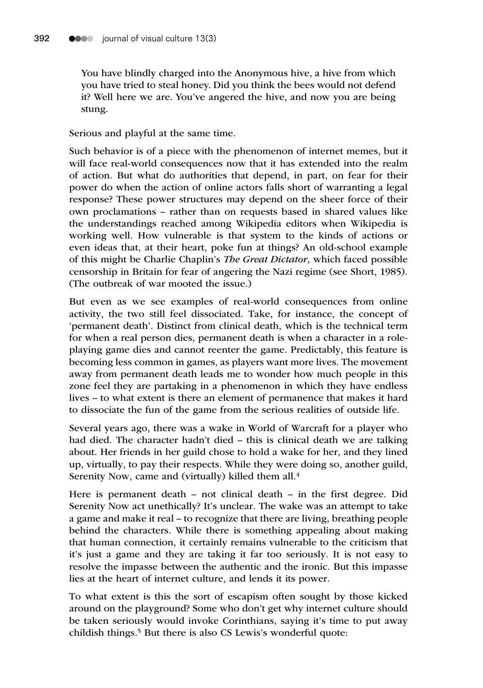You have blindly charged into the Anonymous hive, a hive from which you have tried to steal honey. Did you think the bees would not defend it? Well here we are. You've angered the hive, and now you are being stung.

Serious and playful at the same time.

Such behavior is of a piece with the phenomenon of internet memes, but it will face real-world consequences now that it has extended into the realm of action. But what do authorities that depend, in part, on fear for their power do when the action of online actors falls short of warranting a legal response? These power structures may depend on the sheer force of their own proclamations – rather than on requests based in shared values like the understandings reached among Wikipedia editors when Wikipedia is working well. How vulnerable is that system to the kinds of actions or even ideas that, at their heart, poke fun at things? An old-school example of this might be Charlie Chaplin's *The Great Dictator*, which faced possible censorship in Britain for fear of angering the Nazi regime (see Short, 1985). (The outbreak of war mooted the issue.)

But even as we see examples of real-world consequences from online activity, the two still feel dissociated. Take, for instance, the concept of 'permanent death'. Distinct from clinical death, which is the technical term for when a real person dies, permanent death is when a character in a roleplaying game dies and cannot reenter the game. Predictably, this feature is becoming less common in games, as players want more lives. The movement away from permanent death leads me to wonder how much people in this zone feel they are partaking in a phenomenon in which they have endless lives – to what extent is there an element of permanence that makes it hard to dissociate the fun of the game from the serious realities of outside life.

Several years ago, there was a wake in World of Warcraft for a player who had died. The character hadn't died – this is clinical death we are talking about. Her friends in her guild chose to hold a wake for her, and they lined up, virtually, to pay their respects. While they were doing so, another guild, Serenity Now, came and (virtually) killed them all.4

Here is permanent death – not clinical death – in the first degree. Did Serenity Now act unethically? It's unclear. The wake was an attempt to take a game and make it real – to recognize that there are living, breathing people behind the characters. While there is something appealing about making that human connection, it certainly remains vulnerable to the criticism that it's just a game and they are taking it far too seriously. It is not easy to resolve the impasse between the authentic and the ironic. But this impasse lies at the heart of internet culture, and lends it its power.

To what extent is this the sort of escapism often sought by those kicked around on the playground? Some who don't get why internet culture should be taken seriously would invoke Corinthians, saying it's time to put away childish things.<sup>5</sup> But there is also CS Lewis's wonderful quote: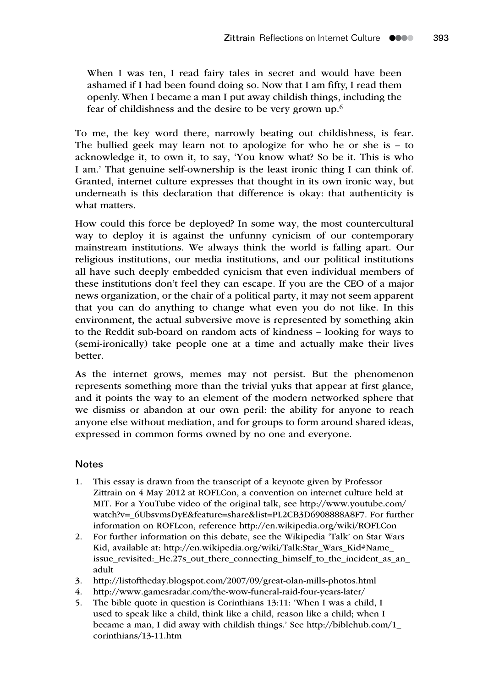When I was ten, I read fairy tales in secret and would have been ashamed if I had been found doing so. Now that I am fifty, I read them openly. When I became a man I put away childish things, including the fear of childishness and the desire to be very grown up.6

To me, the key word there, narrowly beating out childishness, is fear. The bullied geek may learn not to apologize for who he or she is – to acknowledge it, to own it, to say, 'You know what? So be it. This is who I am.' That genuine self-ownership is the least ironic thing I can think of. Granted, internet culture expresses that thought in its own ironic way, but underneath is this declaration that difference is okay: that authenticity is what matters.

How could this force be deployed? In some way, the most countercultural way to deploy it is against the unfunny cynicism of our contemporary mainstream institutions. We always think the world is falling apart. Our religious institutions, our media institutions, and our political institutions all have such deeply embedded cynicism that even individual members of these institutions don't feel they can escape. If you are the CEO of a major news organization, or the chair of a political party, it may not seem apparent that you can do anything to change what even you do not like. In this environment, the actual subversive move is represented by something akin to the Reddit sub-board on random acts of kindness – looking for ways to (semi-ironically) take people one at a time and actually make their lives better.

As the internet grows, memes may not persist. But the phenomenon represents something more than the trivial yuks that appear at first glance, and it points the way to an element of the modern networked sphere that we dismiss or abandon at our own peril: the ability for anyone to reach anyone else without mediation, and for groups to form around shared ideas, expressed in common forms owned by no one and everyone.

#### **Notes**

- 1. This essay is drawn from the transcript of a keynote given by Professor Zittrain on 4 May 2012 at ROFLCon, a convention on internet culture held at [MIT. For a YouTube video of the original talk, see http://www.youtube.com/](http://www.youtube.com/watch?v=_6UbsvmsDyE&feature=share&list=PL2CB3D6908888A8F7) watch?v=\_6UbsvmsDyE&feature=share&list=PL2CB3D6908888A8F7. For further information on ROFLcon, reference http://en.wikipedia.org/wiki/ROFLCon
- 2. For further information on this debate, see the Wikipedia 'Talk' on Star Wars Kid, available at: http://en.wikipedia.org/wiki/Talk:Star\_Wars\_Kid#Name\_ [issue\\_revisited:\\_He.27s\\_out\\_there\\_connecting\\_himself\\_to\\_the\\_incident\\_as\\_an\\_](http://en.wikipedia.org/wiki/Talk:Star_Wars_Kid#Name_issue_revisited:_He.27s_out_there_connecting_himself_to_the_incident_as_an_adult) adult
- 3. http://listoftheday.blogspot.com/2007/09/great-olan-mills-photos.html
- 4. http://www.gamesradar.com/the-wow-funeral-raid-four-years-later/
- 5. The bible quote in question is Corinthians 13:11: 'When I was a child, I used to speak like a child, think like a child, reason like a child; when I [became a man, I did away with childish things.' See http://biblehub.com/1\\_](http://biblehub.com/1_corinthians/13-11.htm) corinthians/13-11.htm